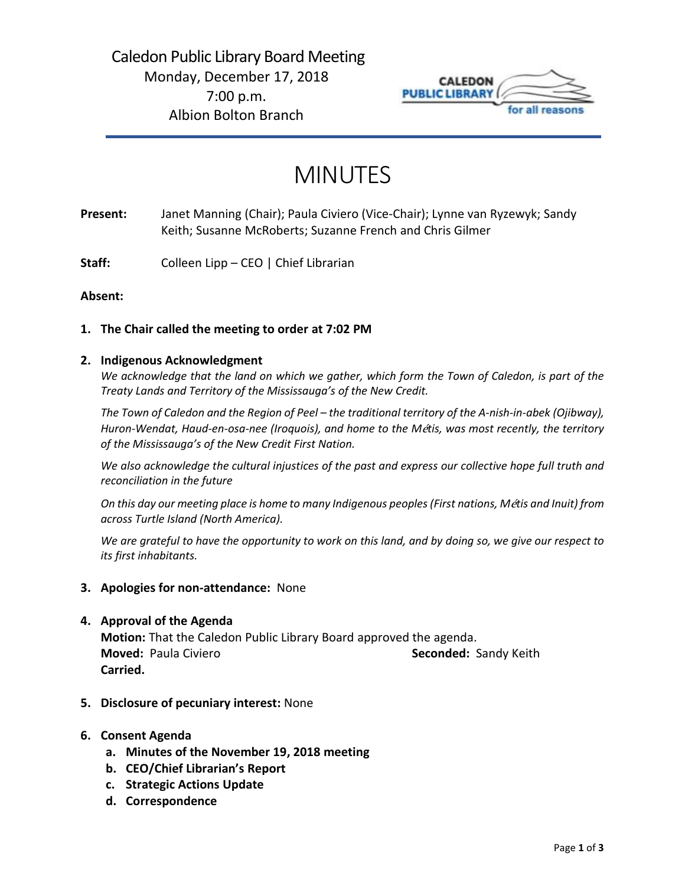

# MINUTES

- **Present:** Janet Manning (Chair); Paula Civiero (Vice-Chair); Lynne van Ryzewyk; Sandy Keith; Susanne McRoberts; Suzanne French and Chris Gilmer
- **Staff:** Colleen Lipp CEO | Chief Librarian

#### **Absent:**

#### **1. The Chair called the meeting to order at 7:02 PM**

#### **2. Indigenous Acknowledgment**

*We acknowledge that the land on which we gather, which form the Town of Caledon, is part of the Treaty Lands and Territory of the Mississauga's of the New Credit.* 

*The Town of Caledon and the Region of Peel – the traditional territory of the A-nish-in-abek (Ojibway), Huron-Wendat, Haud-en-osa-nee (Iroquois), and home to the M*é*tis, was most recently, the territory of the Mississauga's of the New Credit First Nation.* 

*We also acknowledge the cultural injustices of the past and express our collective hope full truth and reconciliation in the future*

*On this day our meeting place is home to many Indigenous peoples (First nations, M*é*tis and Inuit) from across Turtle Island (North America).* 

*We are grateful to have the opportunity to work on this land, and by doing so, we give our respect to its first inhabitants.* 

#### **3. Apologies for non-attendance:** None

## **4. Approval of the Agenda**

**Motion:** That the Caledon Public Library Board approved the agenda. **Moved:** Paula Civiero **Seconded:** Sandy Keith **Carried.**

**5. Disclosure of pecuniary interest:** None

#### **6. Consent Agenda**

- **a. Minutes of the November 19, 2018 meeting**
- **b. CEO/Chief Librarian's Report**
- **c. Strategic Actions Update**
- **d. Correspondence**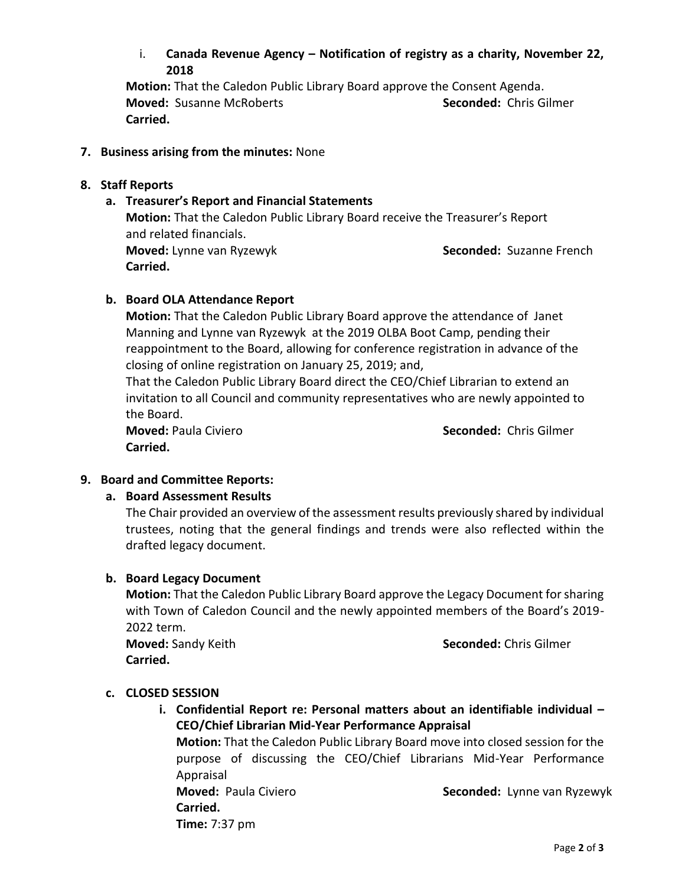## i. **Canada Revenue Agency – Notification of registry as a charity, November 22, 2018**

**Motion:** That the Caledon Public Library Board approve the Consent Agenda. **Moved:** Susanne McRoberts **Seconded:** Chris Gilmer **Carried.** 

## **7. Business arising from the minutes:** None

## **8. Staff Reports**

## **a. Treasurer's Report and Financial Statements**

**Motion:** That the Caledon Public Library Board receive the Treasurer's Report and related financials.

**Moved:** Lynne van Ryzewyk **Seconded:** Suzanne French **Carried.** 

## **b. Board OLA Attendance Report**

**Motion:** That the Caledon Public Library Board approve the attendance of Janet Manning and Lynne van Ryzewyk at the 2019 OLBA Boot Camp, pending their reappointment to the Board, allowing for conference registration in advance of the closing of online registration on January 25, 2019; and,

That the Caledon Public Library Board direct the CEO/Chief Librarian to extend an invitation to all Council and community representatives who are newly appointed to the Board.

**Carried.** 

**Moved:** Paula Civiero **Seconded:** Chris Gilmer

## **9. Board and Committee Reports:**

## **a. Board Assessment Results**

The Chair provided an overview of the assessment results previously shared by individual trustees, noting that the general findings and trends were also reflected within the drafted legacy document.

## **b. Board Legacy Document**

**Motion:** That the Caledon Public Library Board approve the Legacy Document for sharing with Town of Caledon Council and the newly appointed members of the Board's 2019- 2022 term.

**Carried.** 

**Moved:** Sandy Keith **Seconded:** Chris Gilmer

## **c. CLOSED SESSION**

**i. Confidential Report re: Personal matters about an identifiable individual – CEO/Chief Librarian Mid-Year Performance Appraisal**

**Motion:** That the Caledon Public Library Board move into closed session for the purpose of discussing the CEO/Chief Librarians Mid-Year Performance Appraisal

**Carried. Time:** 7:37 pm

**Moved: Paula Civiero <b>Seconded:** Lynne van Ryzewyk